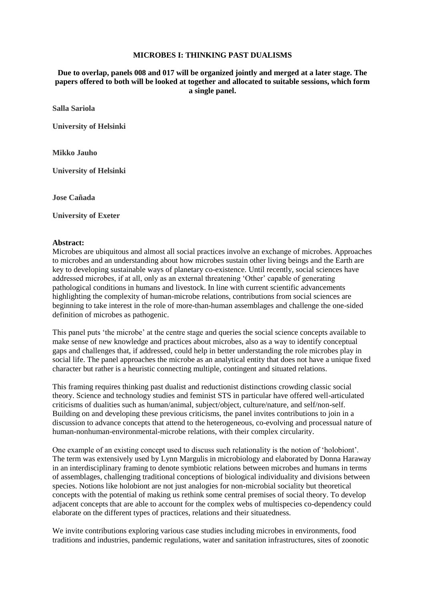## **MICROBES I: THINKING PAST DUALISMS**

**Due to overlap, panels 008 and 017 will be organized jointly and merged at a later stage. The papers offered to both will be looked at together and allocated to suitable sessions, which form a single panel.**

**Salla Sariola**

**University of Helsinki**

**Mikko Jauho**

**University of Helsinki**

**Jose Cañada**

**University of Exeter**

## **Abstract:**

Microbes are ubiquitous and almost all social practices involve an exchange of microbes. Approaches to microbes and an understanding about how microbes sustain other living beings and the Earth are key to developing sustainable ways of planetary co-existence. Until recently, social sciences have addressed microbes, if at all, only as an external threatening 'Other' capable of generating pathological conditions in humans and livestock. In line with current scientific advancements highlighting the complexity of human-microbe relations, contributions from social sciences are beginning to take interest in the role of more-than-human assemblages and challenge the one-sided definition of microbes as pathogenic.

This panel puts 'the microbe' at the centre stage and queries the social science concepts available to make sense of new knowledge and practices about microbes, also as a way to identify conceptual gaps and challenges that, if addressed, could help in better understanding the role microbes play in social life. The panel approaches the microbe as an analytical entity that does not have a unique fixed character but rather is a heuristic connecting multiple, contingent and situated relations.

This framing requires thinking past dualist and reductionist distinctions crowding classic social theory. Science and technology studies and feminist STS in particular have offered well-articulated criticisms of dualities such as human/animal, subject/object, culture/nature, and self/non-self. Building on and developing these previous criticisms, the panel invites contributions to join in a discussion to advance concepts that attend to the heterogeneous, co-evolving and processual nature of human-nonhuman-environmental-microbe relations, with their complex circularity.

One example of an existing concept used to discuss such relationality is the notion of 'holobiont'. The term was extensively used by Lynn Margulis in microbiology and elaborated by Donna Haraway in an interdisciplinary framing to denote symbiotic relations between microbes and humans in terms of assemblages, challenging traditional conceptions of biological individuality and divisions between species. Notions like holobiont are not just analogies for non-microbial sociality but theoretical concepts with the potential of making us rethink some central premises of social theory. To develop adjacent concepts that are able to account for the complex webs of multispecies co-dependency could elaborate on the different types of practices, relations and their situatedness.

We invite contributions exploring various case studies including microbes in environments, food traditions and industries, pandemic regulations, water and sanitation infrastructures, sites of zoonotic